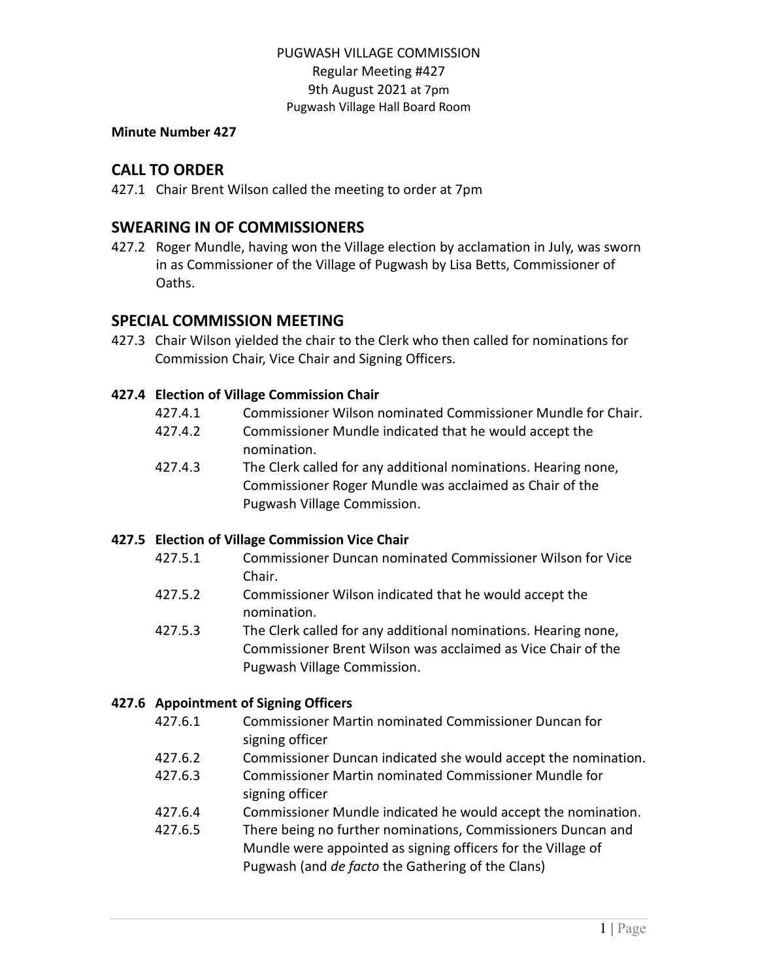#### **Minute Number 427**

# **CALL TO ORDER**

427.1 Chair Brent Wilson called the meeting to order at 7pm

# **SWEARING IN OF COMMISSIONERS**

427.2 Roger Mundle, having won the Village election by acclamation in July, was sworn in as Commissioner of the Village of Pugwash by Lisa Betts, Commissioner of Oaths.

# **SPECIAL COMMISSION MEETING**

427.3 Chair Wilson yielded the chair to the Clerk who then called for nominations for Commission Chair, Vice Chair and Signing Officers.

### **427.4 Election of Village Commission Chair**

- 427.4.1 Commissioner Wilson nominated Commissioner Mundle for Chair.
- 427.4.2 Commissioner Mundle indicated that he would accept the nomination.
- 427.4.3 The Clerk called for any additional nominations. Hearing none, Commissioner Roger Mundle was acclaimed as Chair of the Pugwash Village Commission.

### **427.5 Election of Village Commission Vice Chair**

- 427.5.1 Commissioner Duncan nominated Commissioner Wilson for Vice Chair.
- 427.5.2 Commissioner Wilson indicated that he would accept the nomination.
- 427.5.3 The Clerk called for any additional nominations. Hearing none, Commissioner Brent Wilson was acclaimed as Vice Chair of the Pugwash Village Commission.

### **427.6 Appointment of Signing Officers**

- 427.6.1 Commissioner Martin nominated Commissioner Duncan for signing officer
- 427.6.2 Commissioner Duncan indicated she would accept the nomination.
- 427.6.3 Commissioner Martin nominated Commissioner Mundle for signing officer
- 427.6.4 Commissioner Mundle indicated he would accept the nomination.
- 427.6.5 There being no further nominations, Commissioners Duncan and Mundle were appointed as signing officers for the Village of Pugwash (and *de facto* the Gathering of the Clans)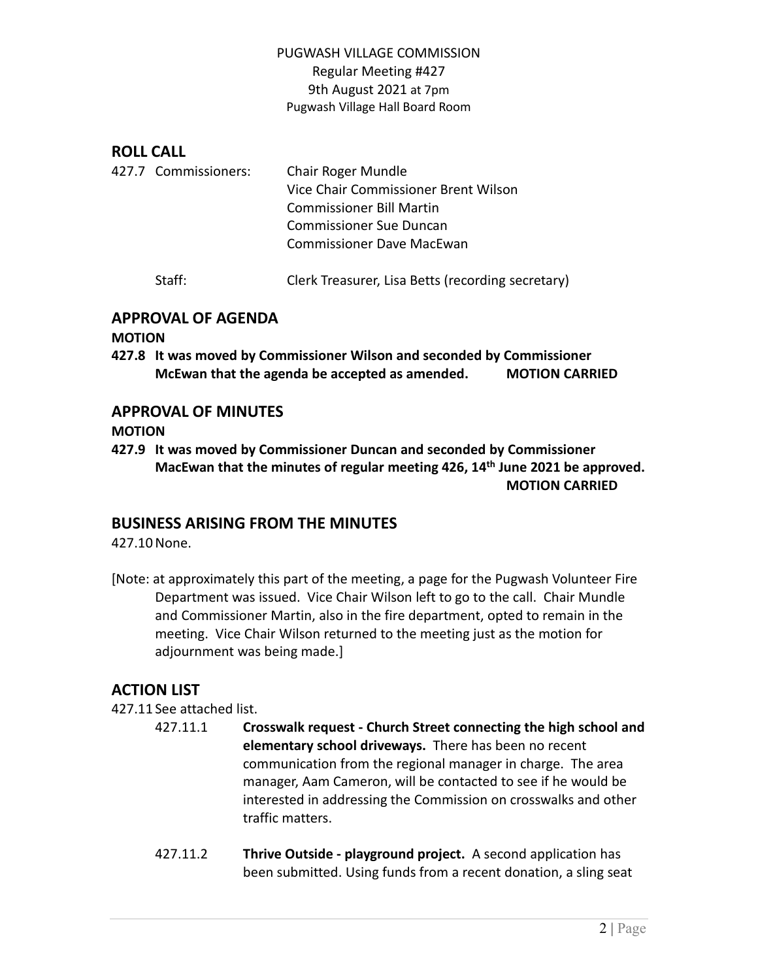# **ROLL CALL**

|  | 427.7 Commissioners: | Chair Roger Mundle                   |
|--|----------------------|--------------------------------------|
|  |                      | Vice Chair Commissioner Brent Wilson |
|  |                      | Commissioner Bill Martin             |
|  |                      | <b>Commissioner Sue Duncan</b>       |
|  |                      | Commissioner Dave MacEwan            |
|  |                      |                                      |

Staff: Clerk Treasurer, Lisa Betts (recording secretary)

# **APPROVAL OF AGENDA**

#### **MOTION**

**427.8 It was moved by Commissioner Wilson and seconded by Commissioner McEwan that the agenda be accepted as amended. MOTION CARRIED**

# **APPROVAL OF MINUTES**

**MOTION**

**427.9 It was moved by Commissioner Duncan and seconded by Commissioner MacEwan that the minutes of regular meeting 426, 14th June 2021 be approved. MOTION CARRIED**

# **BUSINESS ARISING FROM THE MINUTES**

427.10None.

[Note: at approximately this part of the meeting, a page for the Pugwash Volunteer Fire Department was issued. Vice Chair Wilson left to go to the call. Chair Mundle and Commissioner Martin, also in the fire department, opted to remain in the meeting. Vice Chair Wilson returned to the meeting just as the motion for adjournment was being made.]

# **ACTION LIST**

427.11 See attached list.

- 427.11.1 **Crosswalk request - Church Street connecting the high school and elementary school driveways.** There has been no recent communication from the regional manager in charge. The area manager, Aam Cameron, will be contacted to see if he would be interested in addressing the Commission on crosswalks and other traffic matters.
- 427.11.2 **Thrive Outside - playground project.** A second application has been submitted. Using funds from a recent donation, a sling seat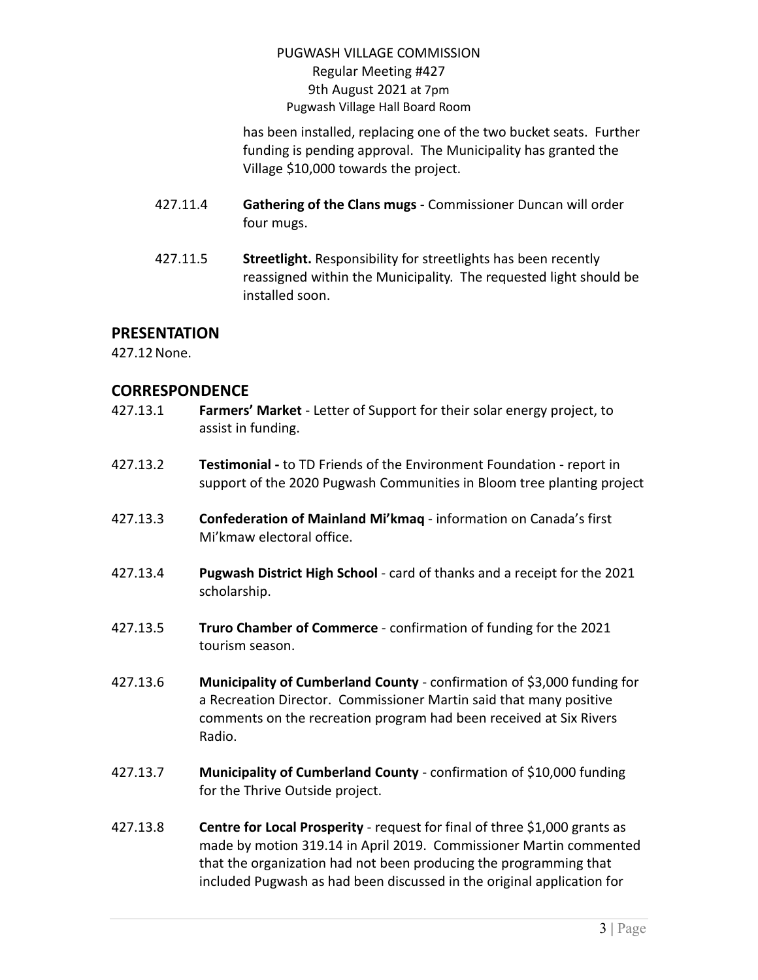has been installed, replacing one of the two bucket seats. Further funding is pending approval. The Municipality has granted the Village \$10,000 towards the project.

- 427.11.4 **Gathering of the Clans mugs** Commissioner Duncan will order four mugs.
- 427.11.5 **Streetlight.** Responsibility for streetlights has been recently reassigned within the Municipality. The requested light should be installed soon.

# **PRESENTATION**

427.12None.

### **CORRESPONDENCE**

427.13.1 **Farmers' Market** - Letter of Support for their solar energy project, to assist in funding. 427.13.2 **Testimonial -** to TD Friends of the Environment Foundation - report in support of the 2020 Pugwash Communities in Bloom tree planting project 427.13.3 **Confederation of Mainland Mi'kmaq** - information on Canada's first Mi'kmaw electoral office. 427.13.4 **Pugwash District High School** - card of thanks and a receipt for the 2021 scholarship. 427.13.5 **Truro Chamber of Commerce** - confirmation of funding for the 2021 tourism season. 427.13.6 **Municipality of Cumberland County** - confirmation of \$3,000 funding for a Recreation Director. Commissioner Martin said that many positive comments on the recreation program had been received at Six Rivers Radio. 427.13.7 **Municipality of Cumberland County** - confirmation of \$10,000 funding for the Thrive Outside project. 427.13.8 **Centre for Local Prosperity** - request for final of three \$1,000 grants as made by motion 319.14 in April 2019. Commissioner Martin commented that the organization had not been producing the programming that included Pugwash as had been discussed in the original application for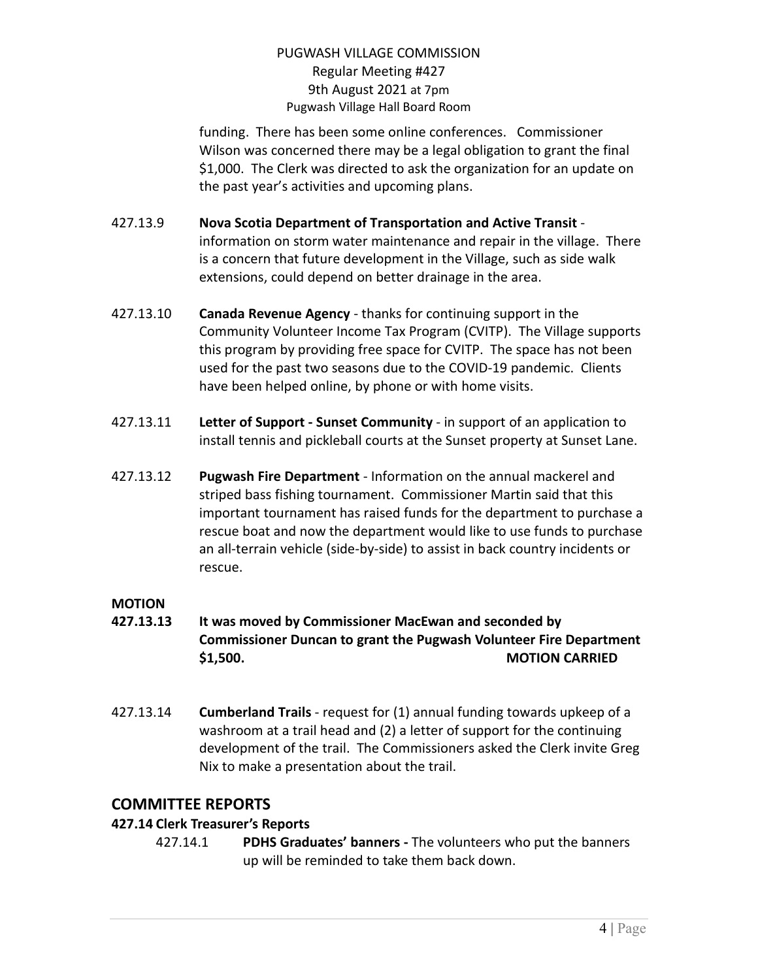funding. There has been some online conferences. Commissioner Wilson was concerned there may be a legal obligation to grant the final \$1,000. The Clerk was directed to ask the organization for an update on the past year's activities and upcoming plans.

- 427.13.9 **Nova Scotia Department of Transportation and Active Transit** information on storm water maintenance and repair in the village. There is a concern that future development in the Village, such as side walk extensions, could depend on better drainage in the area.
- 427.13.10 **Canada Revenue Agency** thanks for continuing support in the Community Volunteer Income Tax Program (CVITP). The Village supports this program by providing free space for CVITP. The space has not been used for the past two seasons due to the COVID-19 pandemic. Clients have been helped online, by phone or with home visits.
- 427.13.11 **Letter of Support - Sunset Community** in support of an application to install tennis and pickleball courts at the Sunset property at Sunset Lane.
- 427.13.12 **Pugwash Fire Department** Information on the annual mackerel and striped bass fishing tournament. Commissioner Martin said that this important tournament has raised funds for the department to purchase a rescue boat and now the department would like to use funds to purchase an all-terrain vehicle (side-by-side) to assist in back country incidents or rescue.

### **MOTION**

- **427.13.13 It was moved by Commissioner MacEwan and seconded by Commissioner Duncan to grant the Pugwash Volunteer Fire Department \$1,500. MOTION CARRIED**
- 427.13.14 **Cumberland Trails** request for (1) annual funding towards upkeep of a washroom at a trail head and (2) a letter of support for the continuing development of the trail. The Commissioners asked the Clerk invite Greg Nix to make a presentation about the trail.

# **COMMITTEE REPORTS**

# **427.14 Clerk Treasurer's Reports**

427.14.1 **PDHS Graduates' banners -** The volunteers who put the banners up will be reminded to take them back down.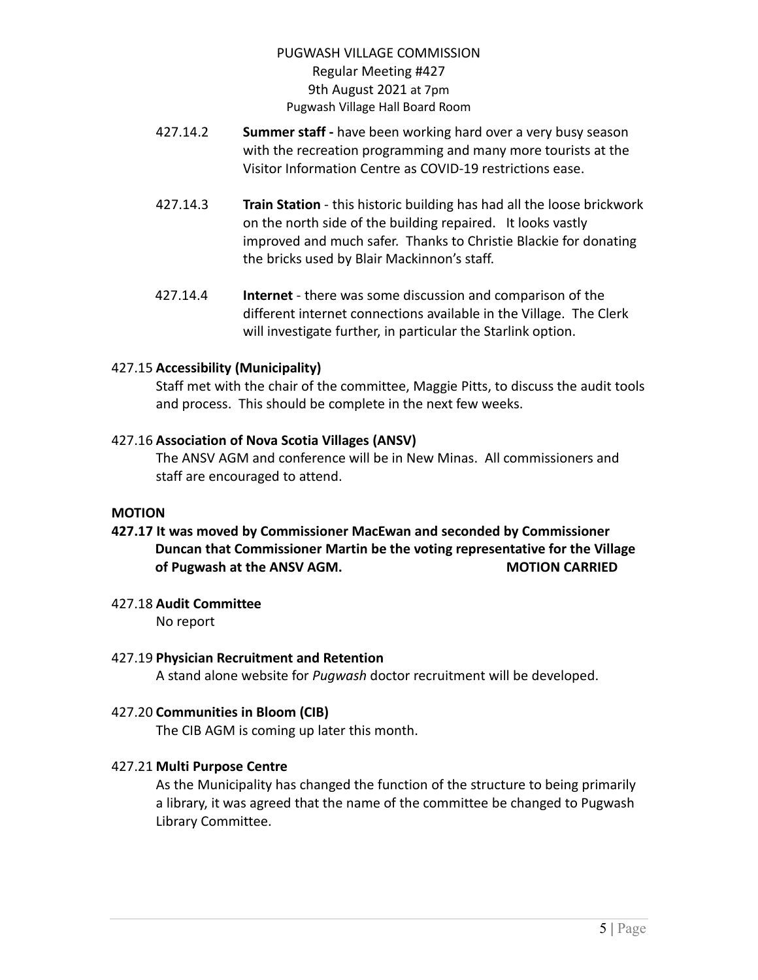- 427.14.2 **Summer staff -** have been working hard over a very busy season with the recreation programming and many more tourists at the Visitor Information Centre as COVID-19 restrictions ease.
- 427.14.3 **Train Station** this historic building has had all the loose brickwork on the north side of the building repaired. It looks vastly improved and much safer. Thanks to Christie Blackie for donating the bricks used by Blair Mackinnon's staff.
- 427.14.4 **Internet** there was some discussion and comparison of the different internet connections available in the Village. The Clerk will investigate further, in particular the Starlink option.

#### 427.15 **Accessibility (Municipality)**

Staff met with the chair of the committee, Maggie Pitts, to discuss the audit tools and process. This should be complete in the next few weeks.

#### 427.16 **Association of Nova Scotia Villages (ANSV)**

The ANSV AGM and conference will be in New Minas. All commissioners and staff are encouraged to attend.

#### **MOTION**

**427.17 It was moved by Commissioner MacEwan and seconded by Commissioner Duncan that Commissioner Martin be the voting representative for the Village of Pugwash at the ANSV AGM. MOTION CARRIED**

### 427.18 **Audit Committee**

No report

### 427.19 **Physician Recruitment and Retention**

A stand alone website for *Pugwash* doctor recruitment will be developed.

### 427.20 **Communities in Bloom (CIB)**

The CIB AGM is coming up later this month.

### 427.21 **Multi Purpose Centre**

As the Municipality has changed the function of the structure to being primarily a library, it was agreed that the name of the committee be changed to Pugwash Library Committee.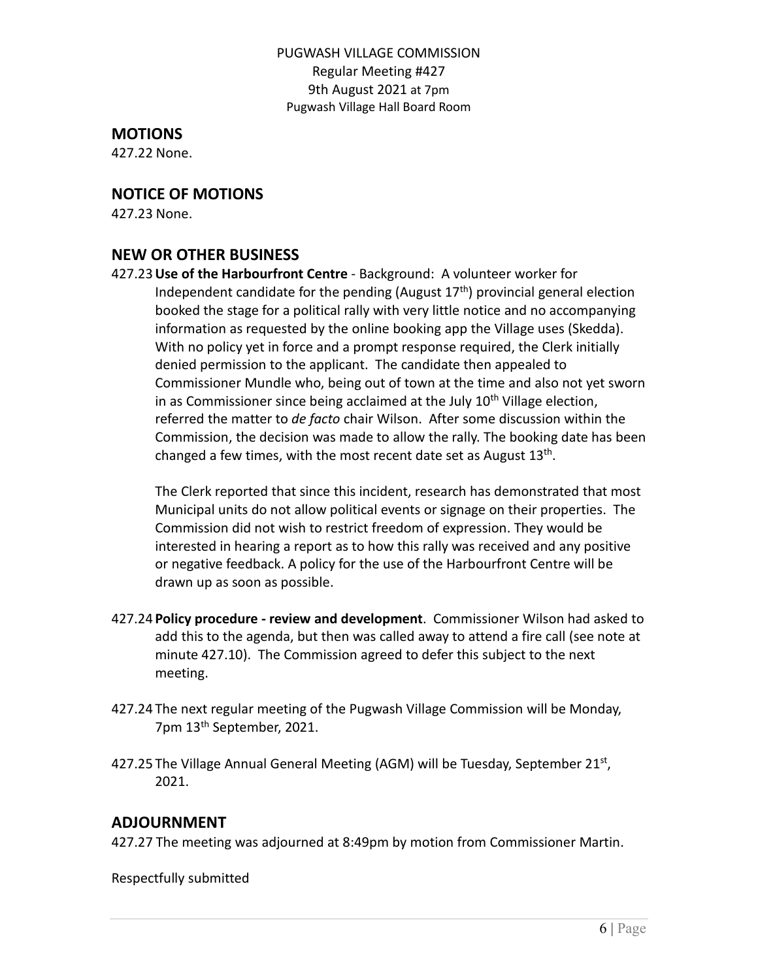# **MOTIONS**

427.22 None.

# **NOTICE OF MOTIONS**

427.23 None.

### **NEW OR OTHER BUSINESS**

427.23**Use of the Harbourfront Centre** - Background: A volunteer worker for Independent candidate for the pending (August  $17<sup>th</sup>$ ) provincial general election booked the stage for a political rally with very little notice and no accompanying information as requested by the online booking app the Village uses (Skedda). With no policy yet in force and a prompt response required, the Clerk initially denied permission to the applicant. The candidate then appealed to Commissioner Mundle who, being out of town at the time and also not yet sworn in as Commissioner since being acclaimed at the July  $10<sup>th</sup>$  Village election, referred the matter to *de facto* chair Wilson. After some discussion within the Commission, the decision was made to allow the rally. The booking date has been changed a few times, with the most recent date set as August 13<sup>th</sup>.

The Clerk reported that since this incident, research has demonstrated that most Municipal units do not allow political events or signage on their properties. The Commission did not wish to restrict freedom of expression. They would be interested in hearing a report as to how this rally was received and any positive or negative feedback. A policy for the use of the Harbourfront Centre will be drawn up as soon as possible.

- 427.24 **Policy procedure - review and development**. Commissioner Wilson had asked to add this to the agenda, but then was called away to attend a fire call (see note at minute 427.10). The Commission agreed to defer this subject to the next meeting.
- 427.24 The next regular meeting of the Pugwash Village Commission will be Monday, 7pm 13<sup>th</sup> September, 2021.
- 427.25 The Village Annual General Meeting (AGM) will be Tuesday, September 21st, 2021.

# **ADJOURNMENT**

427.27 The meeting was adjourned at 8:49pm by motion from Commissioner Martin.

Respectfully submitted